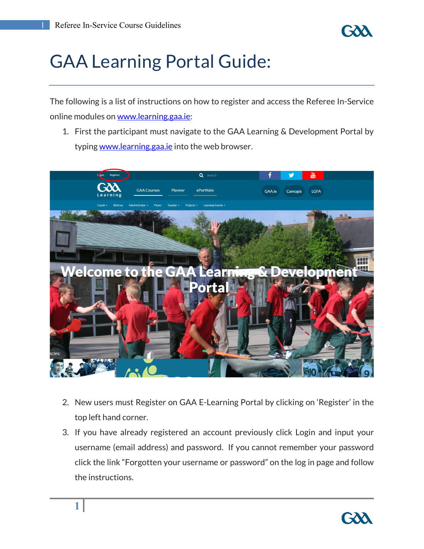**1**

## GAA Learning Portal Guide:

The following is a list of instructions on how to register and access the Referee In-Service online modules on [www.learning.gaa.ie:](http://www.learning.gaa.ie/)

1. First the participant must navigate to the GAA Learning & Development Portal by typin[g www.learning.gaa.ie](http://www.learning.gaa.ie/) into the web browser.



- 2. New users must Register on GAA E-Learning Portal by clicking on 'Register' in the top left hand corner.
- 3. If you have already registered an account previously click Login and input your username (email address) and password. If you cannot remember your password click the link "Forgotten your username or password" on the log in page and follow the instructions.

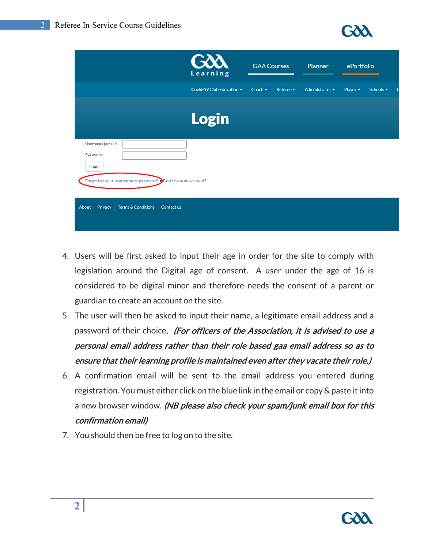

|                                                                                                        |            | GÒÀ<br>Learning           | <b>GAA Courses</b> |                  | Planner         | ePortfolio    |           |
|--------------------------------------------------------------------------------------------------------|------------|---------------------------|--------------------|------------------|-----------------|---------------|-----------|
|                                                                                                        |            | Covid-19 Club Education - | Coach $\sim$       | Referee <b>v</b> | Administrator - | Player $\sim$ | Schools - |
|                                                                                                        |            | <b>Login</b>              |                    |                  |                 |               |           |
| Username (email):<br>Password:<br>Login<br>Forgotten your username or password? Don't have an account? |            |                           |                    |                  |                 |               |           |
| <b>Terms &amp; Conditions</b><br>Privacy<br><b>About</b>                                               | Contact us |                           |                    |                  |                 |               |           |

- 4. Users will be first asked to input their age in order for the site to comply with legislation around the Digital age of consent. A user under the age of 16 is considered to be digital minor and therefore needs the consent of a parent or guardian to create an account on the site.
- 5. The user will then be asked to input their name, a legitimate email address and a password of their choice. (For officers of the Association, it is advised to use a personal email address rather than their role based gaa email address so as to ensure that their learning profile is maintained even after they vacate their role.)
- 6. A confirmation email will be sent to the email address you entered during registration. You must either click on the blue link in the email or copy & paste it into a new browser window. (NB please also check your spam/junk email box for this confirmation email)
- 7. You should then be free to log on to the site.

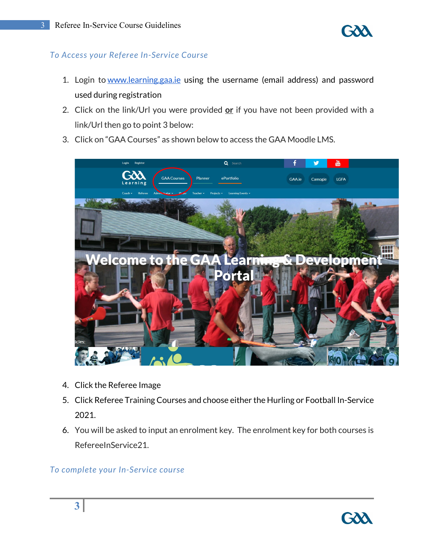

## *To Access your Referee In-Service Course*

- 1. Login to [www.learning.gaa.ie](http://www.learning.gaa.ie/) using the username (email address) and password used during registration
- 2. Click on the link/Url you were provided **or** if you have not been provided with a link/Url then go to point 3 below:
- 3. Click on "GAA Courses" as shown below to access the GAA Moodle LMS.



- 4. Click the Referee Image
- 5. Click Referee Training Courses and choose either the Hurling or Football In-Service 2021.
- 6. You will be asked to input an enrolment key. The enrolment key for both courses is RefereeInService21.

## *To complete your In-Service course*